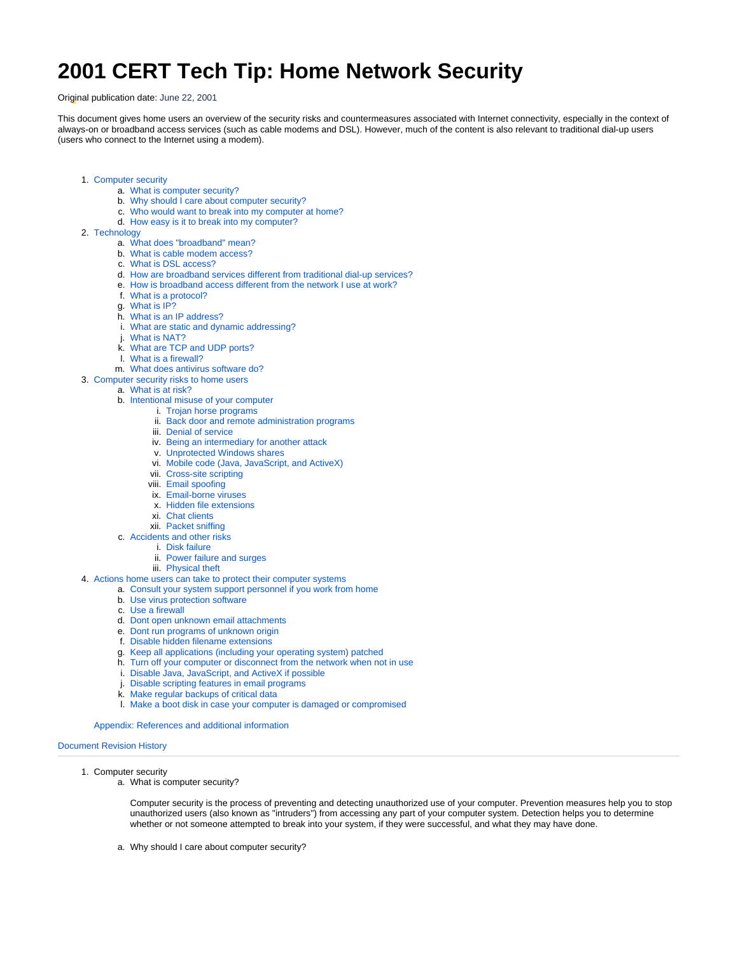# **2001 CERT Tech Tip: Home Network Security**

Original publication date: June 22, 2001

This document gives home users an overview of the security risks and countermeasures associated with Internet connectivity, especially in the context of always-on or broadband access services (such as cable modems and DSL). However, much of the content is also relevant to traditional dial-up users (users who connect to the Internet using a modem).

- 1. [Computer security](#page-0-0)
	- a. [What is computer security?](#page-0-1)
	- b. [Why should I care about computer security?](#page-0-2)
	- c. [Who would want to break into my computer at home?](#page-1-0)
	- d. [How easy is it to break into my computer?](#page-1-1)

## 2. [Technology](#page-1-2)

- a. [What does "broadband" mean?](#page-1-3)
- b. [What is cable modem access?](#page-1-4)
- c. [What is DSL access?](#page-1-5)
- d. [How are broadband services different from traditional dial-up services?](#page-1-6)
- e. [How is broadband access different from the network I use at work?](#page-2-0)
- f. [What is a protocol?](#page-2-1)
- g. [What is IP?](#page-2-2)
- h. [What is an IP address?](#page-2-3)
- i. [What are static and dynamic addressing?](#page-2-4)
- j. [What is NAT?](#page-2-5)
- k. [What are TCP and UDP ports?](#page-3-0)
- l. [What is a firewall?](#page-3-1)
- m. [What does antivirus software do?](#page-3-2)
- 3. [Computer security risks to home users](#page-3-3)
	- a. [What is at risk?](#page-3-4)
		- b. [Intentional misuse of your computer](#page-3-5)
			- i. [Trojan horse programs](#page-4-0)
				- ii. [Back door and remote administration programs](#page-4-1)
				- iii. [Denial of service](#page-4-2)
				- iv. [Being an intermediary for another attack](#page-4-3)
				- v. [Unprotected Windows shares](#page-4-4)
				- vi. [Mobile code \(Java, JavaScript, and ActiveX\)](#page-4-5)
			- vii. [Cross-site scripting](#page-4-6)
			- viii. [Email spoofing](#page-5-0)
			- ix. [Email-borne viruses](#page-5-1)
			- x. [Hidden file extensions](#page-5-2)
			- xi. [Chat clients](#page-5-3)
			- xii. [Packet sniffing](#page-5-4)
		- c. [Accidents and other risks](#page-5-5)
			- i. [Disk failure](#page-6-0)
			- ii. [Power failure and surges](#page-6-1) iii. [Physical theft](#page-6-2)
- 4. [Actions home users can take to protect their computer systems](#page-6-3)
- a. [Consult your system support personnel if you work from home](#page-6-4)
	- b. [Use virus protection software](#page-6-5)
	- c. [Use a firewall](#page-6-6)
	- d. [Dont open unknown email attachments](#page-6-7)
	- e. [Dont run programs of unknown origin](#page-7-0)
	- f. [Disable hidden filename extensions](#page-7-1)
	- g. [Keep all applications \(including your operating system\) patched](#page-7-2)
	- h. [Turn off your computer or disconnect from the network when not in use](#page-7-3)
	- i. [Disable Java, JavaScript, and ActiveX if possible](#page-7-4)
	- j. [Disable scripting features in email programs](#page-7-5)
	- k. [Make regular backups of critical data](#page-7-6)
	- l. [Make a boot disk in case your computer is damaged or compromised](#page-7-7)

#### [Appendix: References and additional information](#page-8-0)

# <span id="page-0-1"></span><span id="page-0-0"></span>[Document Revision History](#page-9-0)

- <span id="page-0-2"></span>1. Computer security
	- a. What is computer security?

Computer security is the process of preventing and detecting unauthorized use of your computer. Prevention measures help you to stop unauthorized users (also known as "intruders") from accessing any part of your computer system. Detection helps you to determine whether or not someone attempted to break into your system, if they were successful, and what they may have done.

a. Why should I care about computer security?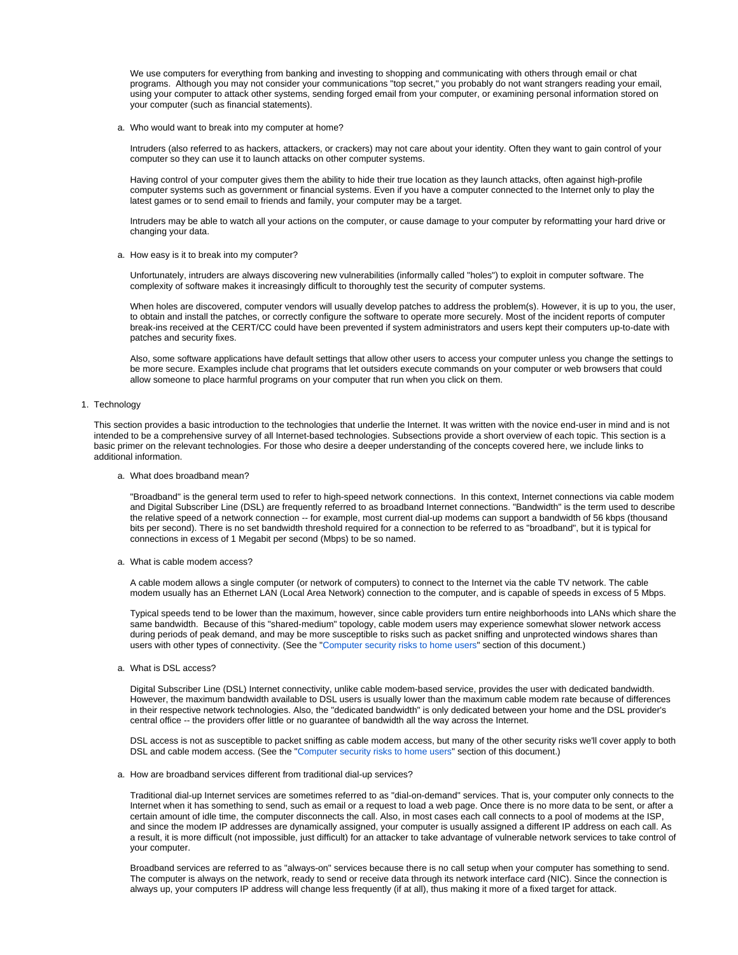We use computers for everything from banking and investing to shopping and communicating with others through email or chat programs. Although you may not consider your communications "top secret," you probably do not want strangers reading your email, using your computer to attack other systems, sending forged email from your computer, or examining personal information stored on your computer (such as financial statements).

<span id="page-1-0"></span>a. Who would want to break into my computer at home?

Intruders (also referred to as hackers, attackers, or crackers) may not care about your identity. Often they want to gain control of your computer so they can use it to launch attacks on other computer systems.

Having control of your computer gives them the ability to hide their true location as they launch attacks, often against high-profile computer systems such as government or financial systems. Even if you have a computer connected to the Internet only to play the latest games or to send email to friends and family, your computer may be a target.

Intruders may be able to watch all your actions on the computer, or cause damage to your computer by reformatting your hard drive or changing your data.

<span id="page-1-1"></span>a. How easy is it to break into my computer?

Unfortunately, intruders are always discovering new vulnerabilities (informally called "holes") to exploit in computer software. The complexity of software makes it increasingly difficult to thoroughly test the security of computer systems.

When holes are discovered, computer vendors will usually develop patches to address the problem(s). However, it is up to you, the user, to obtain and install the patches, or correctly configure the software to operate more securely. Most of the incident reports of computer break-ins received at the CERT/CC could have been prevented if system administrators and users kept their computers up-to-date with patches and security fixes.

Also, some software applications have default settings that allow other users to access your computer unless you change the settings to be more secure. Examples include chat programs that let outsiders execute commands on your computer or web browsers that could allow someone to place harmful programs on your computer that run when you click on them.

#### <span id="page-1-2"></span>1. Technology

<span id="page-1-3"></span>This section provides a basic introduction to the technologies that underlie the Internet. It was written with the novice end-user in mind and is not intended to be a comprehensive survey of all Internet-based technologies. Subsections provide a short overview of each topic. This section is a basic primer on the relevant technologies. For those who desire a deeper understanding of the concepts covered here, we include links to additional information.

a. What does broadband mean?

"Broadband" is the general term used to refer to high-speed network connections. In this context, Internet connections via cable modem and Digital Subscriber Line (DSL) are frequently referred to as broadband Internet connections. "Bandwidth" is the term used to describe the relative speed of a network connection -- for example, most current dial-up modems can support a bandwidth of 56 kbps (thousand bits per second). There is no set bandwidth threshold required for a connection to be referred to as "broadband", but it is typical for connections in excess of 1 Megabit per second (Mbps) to be so named.

<span id="page-1-4"></span>a. What is cable modem access?

A cable modem allows a single computer (or network of computers) to connect to the Internet via the cable TV network. The cable modem usually has an Ethernet LAN (Local Area Network) connection to the computer, and is capable of speeds in excess of 5 Mbps.

Typical speeds tend to be lower than the maximum, however, since cable providers turn entire neighborhoods into LANs which share the same bandwidth. Because of this "shared-medium" topology, cable modem users may experience somewhat slower network access during periods of peak demand, and may be more susceptible to risks such as packet sniffing and unprotected windows shares than users with other types of connectivity. (See the "[Computer security risks to home users"](#page-3-3) section of this document.)

<span id="page-1-5"></span>a. What is DSL access?

Digital Subscriber Line (DSL) Internet connectivity, unlike cable modem-based service, provides the user with dedicated bandwidth. However, the maximum bandwidth available to DSL users is usually lower than the maximum cable modem rate because of differences in their respective network technologies. Also, the "dedicated bandwidth" is only dedicated between your home and the DSL provider's central office -- the providers offer little or no guarantee of bandwidth all the way across the Internet.

DSL access is not as susceptible to packet sniffing as cable modem access, but many of the other security risks we'll cover apply to both DSL and cable modem access. (See the "[Computer security risks to home users"](#page-3-3) section of this document.)

#### <span id="page-1-6"></span>a. How are broadband services different from traditional dial-up services?

Traditional dial-up Internet services are sometimes referred to as "dial-on-demand" services. That is, your computer only connects to the Internet when it has something to send, such as email or a request to load a web page. Once there is no more data to be sent, or after a certain amount of idle time, the computer disconnects the call. Also, in most cases each call connects to a pool of modems at the ISP, and since the modem IP addresses are dynamically assigned, your computer is usually assigned a different IP address on each call. As a result, it is more difficult (not impossible, just difficult) for an attacker to take advantage of vulnerable network services to take control of your computer.

Broadband services are referred to as "always-on" services because there is no call setup when your computer has something to send. The computer is always on the network, ready to send or receive data through its network interface card (NIC). Since the connection is always up, your computers IP address will change less frequently (if at all), thus making it more of a fixed target for attack.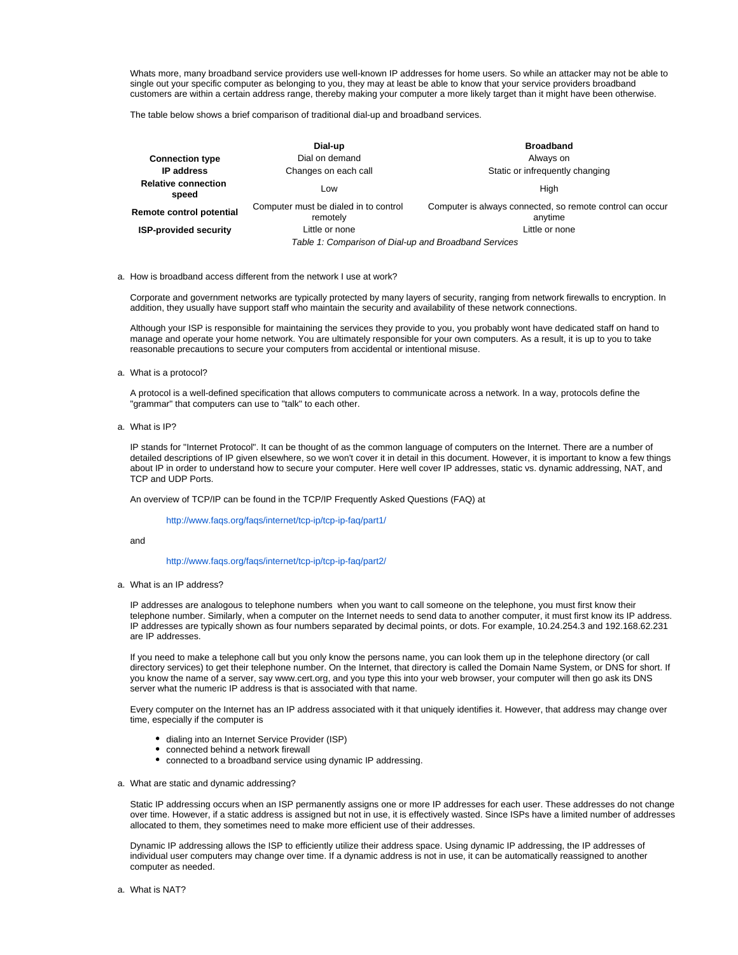Whats more, many broadband service providers use well-known IP addresses for home users. So while an attacker may not be able to single out your specific computer as belonging to you, they may at least be able to know that your service providers broadband customers are within a certain address range, thereby making your computer a more likely target than it might have been otherwise.

The table below shows a brief comparison of traditional dial-up and broadband services.

|                                     | Dial-up                                               | <b>Broadband</b>                                                     |
|-------------------------------------|-------------------------------------------------------|----------------------------------------------------------------------|
| <b>Connection type</b>              | Dial on demand                                        | Always on                                                            |
| <b>IP</b> address                   | Changes on each call                                  | Static or infrequently changing                                      |
| <b>Relative connection</b><br>speed | LOW                                                   | High                                                                 |
| Remote control potential            | Computer must be dialed in to control<br>remotely     | Computer is always connected, so remote control can occur<br>anytime |
| <b>ISP-provided security</b>        | Little or none                                        | Little or none                                                       |
|                                     | Table 1: Comparison of Dial-up and Broadband Services |                                                                      |

# <span id="page-2-0"></span>a. How is broadband access different from the network I use at work?

Corporate and government networks are typically protected by many layers of security, ranging from network firewalls to encryption. In addition, they usually have support staff who maintain the security and availability of these network connections.

Although your ISP is responsible for maintaining the services they provide to you, you probably wont have dedicated staff on hand to manage and operate your home network. You are ultimately responsible for your own computers. As a result, it is up to you to take reasonable precautions to secure your computers from accidental or intentional misuse.

<span id="page-2-1"></span>a. What is a protocol?

A protocol is a well-defined specification that allows computers to communicate across a network. In a way, protocols define the "grammar" that computers can use to "talk" to each other.

<span id="page-2-2"></span>a. What is IP?

IP stands for "Internet Protocol". It can be thought of as the common language of computers on the Internet. There are a number of detailed descriptions of IP given elsewhere, so we won't cover it in detail in this document. However, it is important to know a few things about IP in order to understand how to secure your computer. Here well cover IP addresses, static vs. dynamic addressing, NAT, and TCP and UDP Ports.

An overview of TCP/IP can be found in the TCP/IP Frequently Asked Questions (FAQ) at

<http://www.faqs.org/faqs/internet/tcp-ip/tcp-ip-faq/part1/>

and

## <http://www.faqs.org/faqs/internet/tcp-ip/tcp-ip-faq/part2/>

<span id="page-2-3"></span>a. What is an IP address?

IP addresses are analogous to telephone numbers when you want to call someone on the telephone, you must first know their telephone number. Similarly, when a computer on the Internet needs to send data to another computer, it must first know its IP address. IP addresses are typically shown as four numbers separated by decimal points, or dots. For example, 10.24.254.3 and 192.168.62.231 are IP addresses.

If you need to make a telephone call but you only know the persons name, you can look them up in the telephone directory (or call directory services) to get their telephone number. On the Internet, that directory is called the Domain Name System, or DNS for short. If you know the name of a server, say www.cert.org, and you type this into your web browser, your computer will then go ask its DNS server what the numeric IP address is that is associated with that name.

Every computer on the Internet has an IP address associated with it that uniquely identifies it. However, that address may change over time, especially if the computer is

- dialing into an Internet Service Provider (ISP)
- connected behind a network firewall
- connected to a broadband service using dynamic IP addressing.
- <span id="page-2-4"></span>a. What are static and dynamic addressing?

Static IP addressing occurs when an ISP permanently assigns one or more IP addresses for each user. These addresses do not change over time. However, if a static address is assigned but not in use, it is effectively wasted. Since ISPs have a limited number of addresses allocated to them, they sometimes need to make more efficient use of their addresses.

Dynamic IP addressing allows the ISP to efficiently utilize their address space. Using dynamic IP addressing, the IP addresses of individual user computers may change over time. If a dynamic address is not in use, it can be automatically reassigned to another computer as needed.

<span id="page-2-5"></span>a. What is NAT?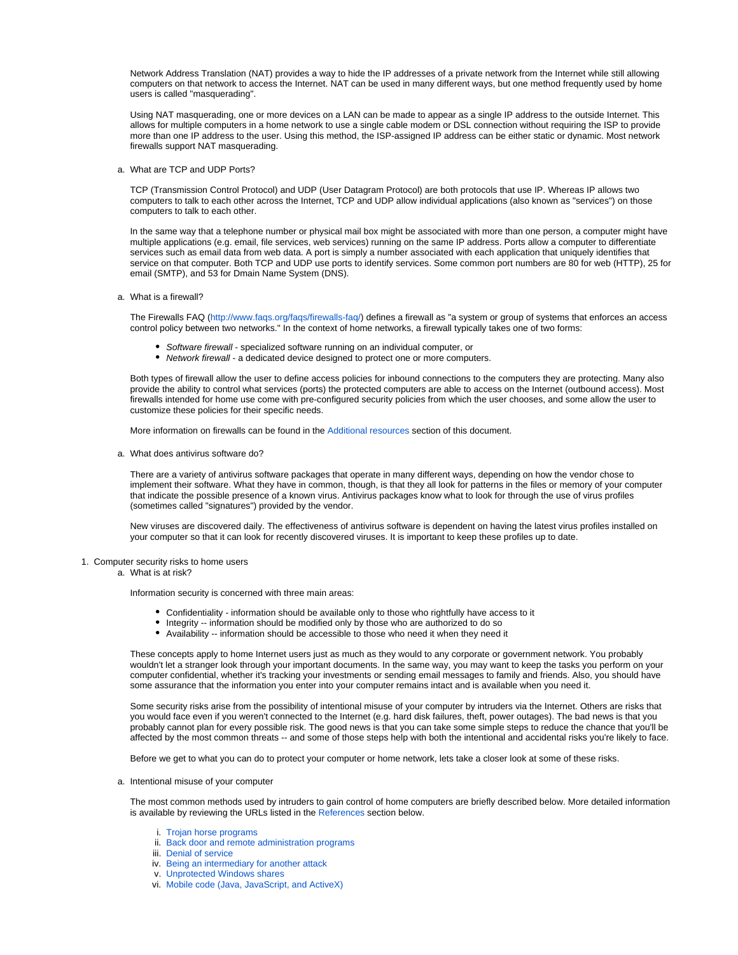Network Address Translation (NAT) provides a way to hide the IP addresses of a private network from the Internet while still allowing computers on that network to access the Internet. NAT can be used in many different ways, but one method frequently used by home users is called "masquerading".

Using NAT masquerading, one or more devices on a LAN can be made to appear as a single IP address to the outside Internet. This allows for multiple computers in a home network to use a single cable modem or DSL connection without requiring the ISP to provide more than one IP address to the user. Using this method, the ISP-assigned IP address can be either static or dynamic. Most network firewalls support NAT masquerading.

<span id="page-3-0"></span>a. What are TCP and UDP Ports?

TCP (Transmission Control Protocol) and UDP (User Datagram Protocol) are both protocols that use IP. Whereas IP allows two computers to talk to each other across the Internet, TCP and UDP allow individual applications (also known as "services") on those computers to talk to each other.

In the same way that a telephone number or physical mail box might be associated with more than one person, a computer might have multiple applications (e.g. email, file services, web services) running on the same IP address. Ports allow a computer to differentiate services such as email data from web data. A port is simply a number associated with each application that uniquely identifies that service on that computer. Both TCP and UDP use ports to identify services. Some common port numbers are 80 for web (HTTP), 25 for email (SMTP), and 53 for Dmain Name System (DNS).

<span id="page-3-1"></span>a. What is a firewall?

The Firewalls FAQ (<http://www.faqs.org/faqs/firewalls-faq/>) defines a firewall as "a system or group of systems that enforces an access control policy between two networks." In the context of home networks, a firewall typically takes one of two forms:

- Software firewall specialized software running on an individual computer, or
- Network firewall a dedicated device designed to protect one or more computers.

Both types of firewall allow the user to define access policies for inbound connections to the computers they are protecting. Many also provide the ability to control what services (ports) the protected computers are able to access on the Internet (outbound access). Most firewalls intended for home use come with pre-configured security policies from which the user chooses, and some allow the user to customize these policies for their specific needs.

More information on firewalls can be found in the [Additional resources](#page-8-1) section of this document.

<span id="page-3-2"></span>a. What does antivirus software do?

There are a variety of antivirus software packages that operate in many different ways, depending on how the vendor chose to implement their software. What they have in common, though, is that they all look for patterns in the files or memory of your computer that indicate the possible presence of a known virus. Antivirus packages know what to look for through the use of virus profiles (sometimes called "signatures") provided by the vendor.

New viruses are discovered daily. The effectiveness of antivirus software is dependent on having the latest virus profiles installed on your computer so that it can look for recently discovered viruses. It is important to keep these profiles up to date.

<span id="page-3-4"></span><span id="page-3-3"></span>1. Computer security risks to home users

a. What is at risk?

Information security is concerned with three main areas:

- Confidentiality information should be available only to those who rightfully have access to it
- Integrity -- information should be modified only by those who are authorized to do so
- Availability -- information should be accessible to those who need it when they need it

These concepts apply to home Internet users just as much as they would to any corporate or government network. You probably wouldn't let a stranger look through your important documents. In the same way, you may want to keep the tasks you perform on your computer confidential, whether it's tracking your investments or sending email messages to family and friends. Also, you should have some assurance that the information you enter into your computer remains intact and is available when you need it.

Some security risks arise from the possibility of intentional misuse of your computer by intruders via the Internet. Others are risks that you would face even if you weren't connected to the Internet (e.g. hard disk failures, theft, power outages). The bad news is that you probably cannot plan for every possible risk. The good news is that you can take some simple steps to reduce the chance that you'll be affected by the most common threats -- and some of those steps help with both the intentional and accidental risks you're likely to face.

Before we get to what you can do to protect your computer or home network, lets take a closer look at some of these risks.

<span id="page-3-5"></span>a. Intentional misuse of your computer

The most common methods used by intruders to gain control of home computers are briefly described below. More detailed information is available by reviewing the URLs listed in the [References](#page-8-2) section below.

- i. [Trojan horse programs](#page-4-0)
- ii. [Back door and remote administration programs](#page-4-1)
- iii. [Denial of service](#page-4-2)
- iv. [Being an intermediary for another attack](#page-4-3)
- v. [Unprotected Windows shares](#page-4-4)
- vi. [Mobile code \(Java, JavaScript, and ActiveX\)](#page-4-5)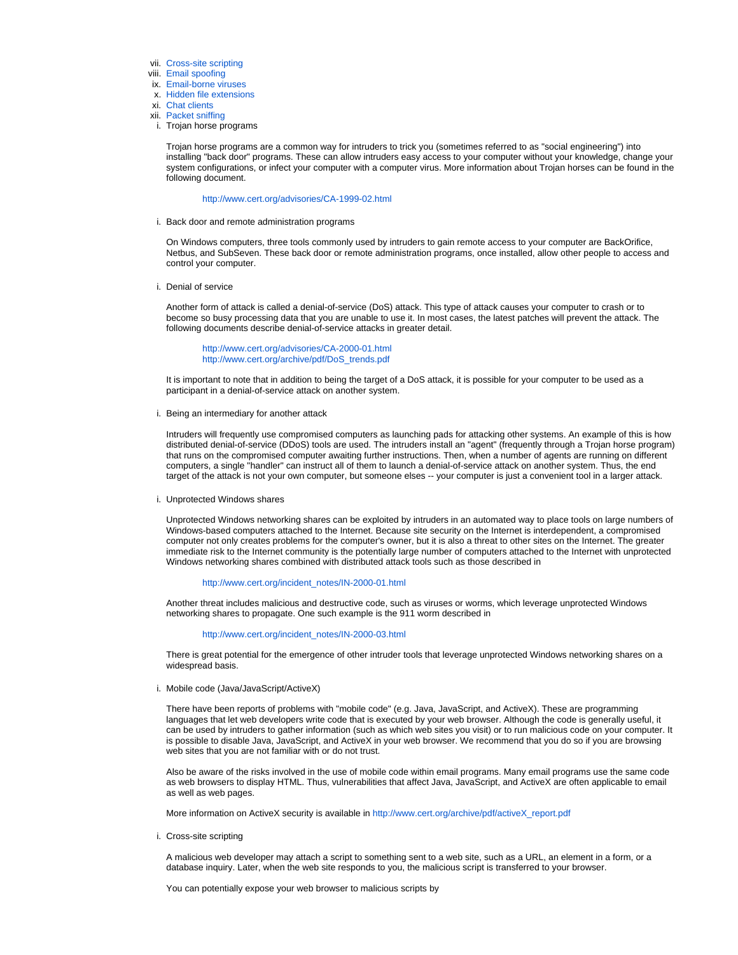- vii. [Cross-site scripting](#page-4-6)
- viii. [Email spoofing](#page-5-0)
- ix. [Email-borne viruses](#page-5-1)
- x. [Hidden file extensions](#page-5-2)
- xi. [Chat clients](#page-5-3)
- <span id="page-4-0"></span>xii. [Packet sniffing](#page-5-4)
- i. Trojan horse programs

Trojan horse programs are a common way for intruders to trick you (sometimes referred to as "social engineering") into installing "back door" programs. These can allow intruders easy access to your computer without your knowledge, change your system configurations, or infect your computer with a computer virus. More information about Trojan horses can be found in the following document.

#### <http://www.cert.org/advisories/CA-1999-02.html>

<span id="page-4-1"></span>i. Back door and remote administration programs

On Windows computers, three tools commonly used by intruders to gain remote access to your computer are BackOrifice, Netbus, and SubSeven. These back door or remote administration programs, once installed, allow other people to access and control your computer.

<span id="page-4-2"></span>i. Denial of service

Another form of attack is called a denial-of-service (DoS) attack. This type of attack causes your computer to crash or to become so busy processing data that you are unable to use it. In most cases, the latest patches will prevent the attack. The following documents describe denial-of-service attacks in greater detail.

<http://www.cert.org/advisories/CA-2000-01.html> [http://www.cert.org/archive/pdf/DoS\\_trends.pdf](http://www.cert.org/archive/pdf/DoS_trends.pdf)

It is important to note that in addition to being the target of a DoS attack, it is possible for your computer to be used as a participant in a denial-of-service attack on another system.

<span id="page-4-3"></span>i. Being an intermediary for another attack

Intruders will frequently use compromised computers as launching pads for attacking other systems. An example of this is how distributed denial-of-service (DDoS) tools are used. The intruders install an "agent" (frequently through a Trojan horse program) that runs on the compromised computer awaiting further instructions. Then, when a number of agents are running on different computers, a single "handler" can instruct all of them to launch a denial-of-service attack on another system. Thus, the end target of the attack is not your own computer, but someone elses -- your computer is just a convenient tool in a larger attack.

<span id="page-4-4"></span>i. Unprotected Windows shares

Unprotected Windows networking shares can be exploited by intruders in an automated way to place tools on large numbers of Windows-based computers attached to the Internet. Because site security on the Internet is interdependent, a compromised computer not only creates problems for the computer's owner, but it is also a threat to other sites on the Internet. The greater immediate risk to the Internet community is the potentially large number of computers attached to the Internet with unprotected Windows networking shares combined with distributed attack tools such as those described in

#### [http://www.cert.org/incident\\_notes/IN-2000-01.html](http://www.cert.org/incident_notes/IN-2000-01.html)

Another threat includes malicious and destructive code, such as viruses or worms, which leverage unprotected Windows networking shares to propagate. One such example is the 911 worm described in

#### [http://www.cert.org/incident\\_notes/IN-2000-03.html](http://www.cert.org/incident_notes/IN-2000-03.html)

There is great potential for the emergence of other intruder tools that leverage unprotected Windows networking shares on a widespread basis.

<span id="page-4-5"></span>i. Mobile code (Java/JavaScript/ActiveX)

There have been reports of problems with "mobile code" (e.g. Java, JavaScript, and ActiveX). These are programming languages that let web developers write code that is executed by your web browser. Although the code is generally useful, it can be used by intruders to gather information (such as which web sites you visit) or to run malicious code on your computer. It is possible to disable Java, JavaScript, and ActiveX in your web browser. We recommend that you do so if you are browsing web sites that you are not familiar with or do not trust.

Also be aware of the risks involved in the use of mobile code within email programs. Many email programs use the same code as web browsers to display HTML. Thus, vulnerabilities that affect Java, JavaScript, and ActiveX are often applicable to email as well as web pages.

More information on ActiveX security is available in [http://www.cert.org/archive/pdf/activeX\\_report.pdf](http://www.cert.org/archive/pdf/activeX_report.pdf)

<span id="page-4-6"></span>i. Cross-site scripting

A malicious web developer may attach a script to something sent to a web site, such as a URL, an element in a form, or a database inquiry. Later, when the web site responds to you, the malicious script is transferred to your browser.

You can potentially expose your web browser to malicious scripts by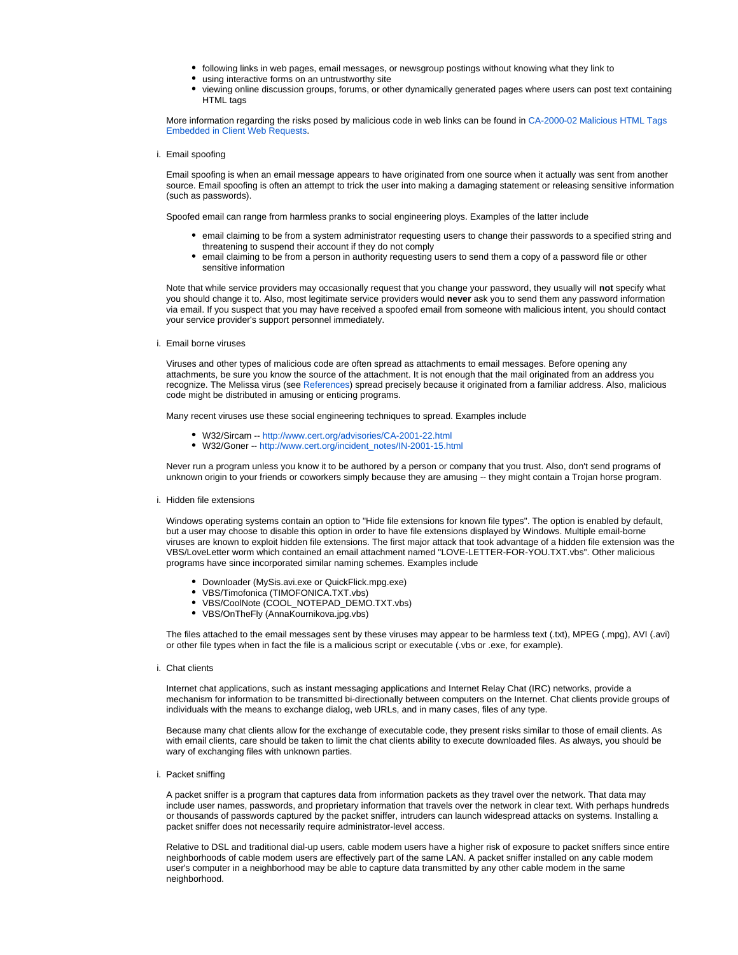- following links in web pages, email messages, or newsgroup postings without knowing what they link to
- using interactive forms on an untrustworthy site
- viewing online discussion groups, forums, or other dynamically generated pages where users can post text containing HTML tags

More information regarding the risks posed by malicious code in web links can be found in [CA-2000-02 Malicious HTML Tags](http://www.cert.org/advisories/CA-2000-02.html)  [Embedded in Client Web Requests.](http://www.cert.org/advisories/CA-2000-02.html)

<span id="page-5-0"></span>i. Email spoofing

Email spoofing is when an email message appears to have originated from one source when it actually was sent from another source. Email spoofing is often an attempt to trick the user into making a damaging statement or releasing sensitive information (such as passwords).

Spoofed email can range from harmless pranks to social engineering ploys. Examples of the latter include

- email claiming to be from a system administrator requesting users to change their passwords to a specified string and threatening to suspend their account if they do not comply
- email claiming to be from a person in authority requesting users to send them a copy of a password file or other sensitive information

Note that while service providers may occasionally request that you change your password, they usually will **not** specify what you should change it to. Also, most legitimate service providers would **never** ask you to send them any password information via email. If you suspect that you may have received a spoofed email from someone with malicious intent, you should contact your service provider's support personnel immediately.

#### <span id="page-5-1"></span>i. Email borne viruses

Viruses and other types of malicious code are often spread as attachments to email messages. Before opening any attachments, be sure you know the source of the attachment. It is not enough that the mail originated from an address you recognize. The Melissa virus (see [References](#page-8-2)) spread precisely because it originated from a familiar address. Also, malicious code might be distributed in amusing or enticing programs.

Many recent viruses use these social engineering techniques to spread. Examples include

- W32/Sircam --<http://www.cert.org/advisories/CA-2001-22.html>
- W32/Goner -- [http://www.cert.org/incident\\_notes/IN-2001-15.html](http://www.cert.org/incident_notes/IN-2001-15.html)

Never run a program unless you know it to be authored by a person or company that you trust. Also, don't send programs of unknown origin to your friends or coworkers simply because they are amusing -- they might contain a Trojan horse program.

#### <span id="page-5-2"></span>i. Hidden file extensions

Windows operating systems contain an option to "Hide file extensions for known file types". The option is enabled by default, but a user may choose to disable this option in order to have file extensions displayed by Windows. Multiple email-borne viruses are known to exploit hidden file extensions. The first major attack that took advantage of a hidden file extension was the VBS/LoveLetter worm which contained an email attachment named "LOVE-LETTER-FOR-YOU.TXT.vbs". Other malicious programs have since incorporated similar naming schemes. Examples include

- Downloader (MySis.avi.exe or QuickFlick.mpg.exe)
- VBS/Timofonica (TIMOFONICA.TXT.vbs)
- VBS/CoolNote (COOL\_NOTEPAD\_DEMO.TXT.vbs)
- VBS/OnTheFly (AnnaKournikova.jpg.vbs)

The files attached to the email messages sent by these viruses may appear to be harmless text (.txt), MPEG (.mpg), AVI (.avi) or other file types when in fact the file is a malicious script or executable (.vbs or .exe, for example).

<span id="page-5-3"></span>i. Chat clients

Internet chat applications, such as instant messaging applications and Internet Relay Chat (IRC) networks, provide a mechanism for information to be transmitted bi-directionally between computers on the Internet. Chat clients provide groups of individuals with the means to exchange dialog, web URLs, and in many cases, files of any type.

Because many chat clients allow for the exchange of executable code, they present risks similar to those of email clients. As with email clients, care should be taken to limit the chat clients ability to execute downloaded files. As always, you should be wary of exchanging files with unknown parties.

<span id="page-5-4"></span>i. Packet sniffing

A packet sniffer is a program that captures data from information packets as they travel over the network. That data may include user names, passwords, and proprietary information that travels over the network in clear text. With perhaps hundreds or thousands of passwords captured by the packet sniffer, intruders can launch widespread attacks on systems. Installing a packet sniffer does not necessarily require administrator-level access.

<span id="page-5-5"></span>Relative to DSL and traditional dial-up users, cable modem users have a higher risk of exposure to packet sniffers since entire neighborhoods of cable modem users are effectively part of the same LAN. A packet sniffer installed on any cable modem user's computer in a neighborhood may be able to capture data transmitted by any other cable modem in the same neighborhood.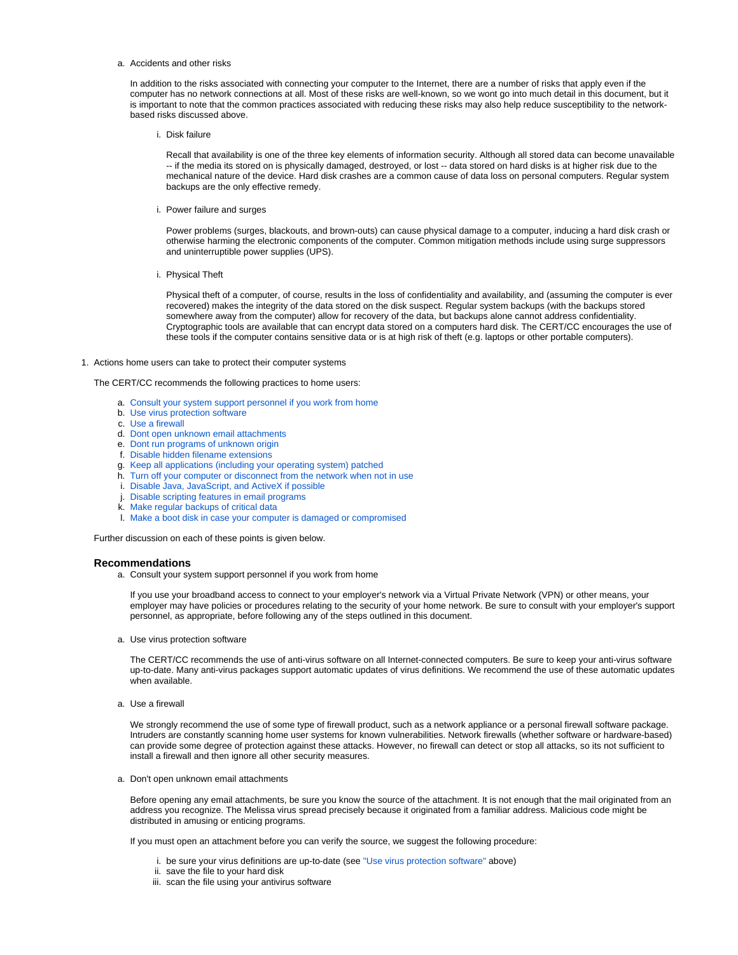<span id="page-6-0"></span>a. Accidents and other risks

In addition to the risks associated with connecting your computer to the Internet, there are a number of risks that apply even if the computer has no network connections at all. Most of these risks are well-known, so we wont go into much detail in this document, but it is important to note that the common practices associated with reducing these risks may also help reduce susceptibility to the networkbased risks discussed above.

i. Disk failure

Recall that availability is one of the three key elements of information security. Although all stored data can become unavailable -- if the media its stored on is physically damaged, destroyed, or lost -- data stored on hard disks is at higher risk due to the mechanical nature of the device. Hard disk crashes are a common cause of data loss on personal computers. Regular system backups are the only effective remedy.

<span id="page-6-1"></span>i. Power failure and surges

Power problems (surges, blackouts, and brown-outs) can cause physical damage to a computer, inducing a hard disk crash or otherwise harming the electronic components of the computer. Common mitigation methods include using surge suppressors and uninterruptible power supplies (UPS).

i. Physical Theft

Physical theft of a computer, of course, results in the loss of confidentiality and availability, and (assuming the computer is ever recovered) makes the integrity of the data stored on the disk suspect. Regular system backups (with the backups stored somewhere away from the computer) allow for recovery of the data, but backups alone cannot address confidentiality. Cryptographic tools are available that can encrypt data stored on a computers hard disk. The CERT/CC encourages the use of these tools if the computer contains sensitive data or is at high risk of theft (e.g. laptops or other portable computers).

<span id="page-6-3"></span><span id="page-6-2"></span>1. Actions home users can take to protect their computer systems

The CERT/CC recommends the following practices to home users:

- a. [Consult your system support personnel if you work from home](#page-6-4)
- b. [Use virus protection software](#page-6-5)
- c. [Use a firewall](#page-6-6)
- d. [Dont open unknown email attachments](#page-6-7)
- e. [Dont run programs of unknown origin](#page-7-0)
- f. [Disable hidden filename extensions](#page-7-1)
- g. [Keep all applications \(including your operating system\) patched](#page-7-2)
- h. [Turn off your computer or disconnect from the network when not in use](#page-7-3)
- i. [Disable Java, JavaScript, and ActiveX if possible](#page-7-4)
- j. [Disable scripting features in email programs](#page-7-5)
- k. [Make regular backups of critical data](#page-7-6)
- l. [Make a boot disk in case your computer is damaged or compromised](#page-7-7)

Further discussion on each of these points is given below.

#### <span id="page-6-4"></span>**Recommendations**

a. Consult your system support personnel if you work from home

If you use your broadband access to connect to your employer's network via a Virtual Private Network (VPN) or other means, your employer may have policies or procedures relating to the security of your home network. Be sure to consult with your employer's support personnel, as appropriate, before following any of the steps outlined in this document.

<span id="page-6-5"></span>a. Use virus protection software

The CERT/CC recommends the use of anti-virus software on all Internet-connected computers. Be sure to keep your anti-virus software up-to-date. Many anti-virus packages support automatic updates of virus definitions. We recommend the use of these automatic updates when available.

<span id="page-6-6"></span>a. Use a firewall

We strongly recommend the use of some type of firewall product, such as a network appliance or a personal firewall software package. Intruders are constantly scanning home user systems for known vulnerabilities. Network firewalls (whether software or hardware-based) can provide some degree of protection against these attacks. However, no firewall can detect or stop all attacks, so its not sufficient to install a firewall and then ignore all other security measures.

<span id="page-6-7"></span>a. Don't open unknown email attachments

Before opening any email attachments, be sure you know the source of the attachment. It is not enough that the mail originated from an address you recognize. The Melissa virus spread precisely because it originated from a familiar address. Malicious code might be distributed in amusing or enticing programs.

If you must open an attachment before you can verify the source, we suggest the following procedure:

- i. be sure your virus definitions are up-to-date (see ["Use virus protection software"](#page-6-5) above)
- ii. save the file to your hard disk
- iii. scan the file using your antivirus software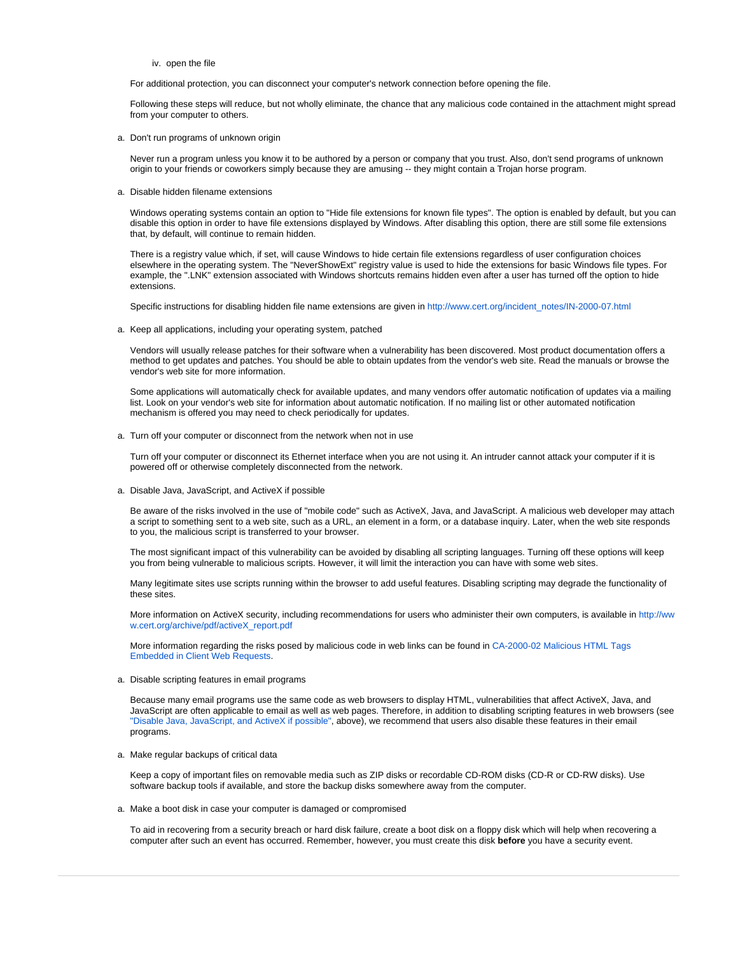iv. open the file

For additional protection, you can disconnect your computer's network connection before opening the file.

Following these steps will reduce, but not wholly eliminate, the chance that any malicious code contained in the attachment might spread from your computer to others.

<span id="page-7-0"></span>a. Don't run programs of unknown origin

Never run a program unless you know it to be authored by a person or company that you trust. Also, don't send programs of unknown origin to your friends or coworkers simply because they are amusing -- they might contain a Trojan horse program.

<span id="page-7-1"></span>a. Disable hidden filename extensions

Windows operating systems contain an option to "Hide file extensions for known file types". The option is enabled by default, but you can disable this option in order to have file extensions displayed by Windows. After disabling this option, there are still some file extensions that, by default, will continue to remain hidden.

There is a registry value which, if set, will cause Windows to hide certain file extensions regardless of user configuration choices elsewhere in the operating system. The "NeverShowExt" registry value is used to hide the extensions for basic Windows file types. For example, the ".LNK" extension associated with Windows shortcuts remains hidden even after a user has turned off the option to hide extensions.

Specific instructions for disabling hidden file name extensions are given in [http://www.cert.org/incident\\_notes/IN-2000-07.html](http://www.cert.org/incident_notes/IN-2000-07.html)

<span id="page-7-2"></span>a. Keep all applications, including your operating system, patched

Vendors will usually release patches for their software when a vulnerability has been discovered. Most product documentation offers a method to get updates and patches. You should be able to obtain updates from the vendor's web site. Read the manuals or browse the vendor's web site for more information.

Some applications will automatically check for available updates, and many vendors offer automatic notification of updates via a mailing list. Look on your vendor's web site for information about automatic notification. If no mailing list or other automated notification mechanism is offered you may need to check periodically for updates.

<span id="page-7-3"></span>a. Turn off your computer or disconnect from the network when not in use

Turn off your computer or disconnect its Ethernet interface when you are not using it. An intruder cannot attack your computer if it is powered off or otherwise completely disconnected from the network.

<span id="page-7-4"></span>a. Disable Java, JavaScript, and ActiveX if possible

Be aware of the risks involved in the use of "mobile code" such as ActiveX, Java, and JavaScript. A malicious web developer may attach a script to something sent to a web site, such as a URL, an element in a form, or a database inquiry. Later, when the web site responds to you, the malicious script is transferred to your browser.

The most significant impact of this vulnerability can be avoided by disabling all scripting languages. Turning off these options will keep you from being vulnerable to malicious scripts. However, it will limit the interaction you can have with some web sites.

Many legitimate sites use scripts running within the browser to add useful features. Disabling scripting may degrade the functionality of these sites.

More information on ActiveX security, including recommendations for users who administer their own computers, is available in [http://ww](http://www.cert.org/archive/pdf/activeX_report.pdf) [w.cert.org/archive/pdf/activeX\\_report.pdf](http://www.cert.org/archive/pdf/activeX_report.pdf)

More information regarding the risks posed by malicious code in web links can be found in [CA-2000-02 Malicious HTML Tags](http://www.cert.org/advisories/CA-2000-02.html)  [Embedded in Client Web Requests.](http://www.cert.org/advisories/CA-2000-02.html)

<span id="page-7-5"></span>a. Disable scripting features in email programs

Because many email programs use the same code as web browsers to display HTML, vulnerabilities that affect ActiveX, Java, and JavaScript are often applicable to email as well as web pages. Therefore, in addition to disabling scripting features in web browsers (see ["Disable Java, JavaScript, and ActiveX if possible"](#page-7-4), above), we recommend that users also disable these features in their email programs.

<span id="page-7-6"></span>a. Make regular backups of critical data

Keep a copy of important files on removable media such as ZIP disks or recordable CD-ROM disks (CD-R or CD-RW disks). Use software backup tools if available, and store the backup disks somewhere away from the computer.

<span id="page-7-7"></span>a. Make a boot disk in case your computer is damaged or compromised

To aid in recovering from a security breach or hard disk failure, create a boot disk on a floppy disk which will help when recovering a computer after such an event has occurred. Remember, however, you must create this disk **before** you have a security event.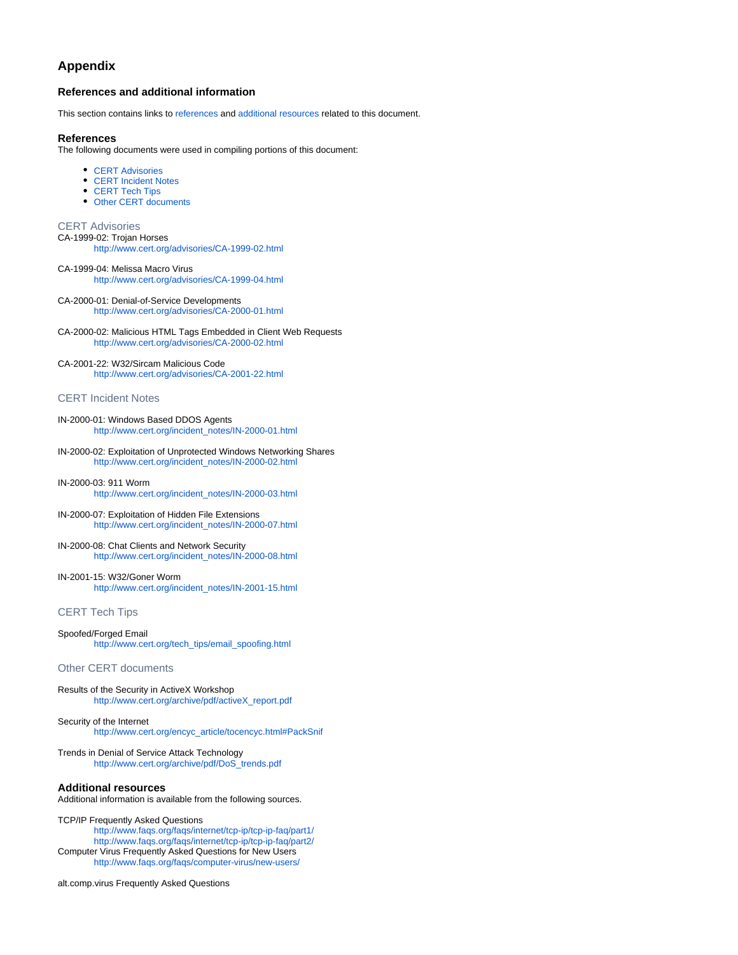# <span id="page-8-0"></span>**Appendix**

# **References and additional information**

This section contains links to [references](#page-8-2) and [additional resources](#page-8-1) related to this document.

# <span id="page-8-2"></span>**References**

The following documents were used in compiling portions of this document:

- [CERT Advisories](#page-8-3)
- [CERT Incident Notes](#page-8-4)
- [CERT Tech Tips](#page-8-5)
- [Other CERT documents](#page-8-6)

# <span id="page-8-3"></span>CERT Advisories

CA-1999-02: Trojan Horses <http://www.cert.org/advisories/CA-1999-02.html>

- CA-1999-04: Melissa Macro Virus <http://www.cert.org/advisories/CA-1999-04.html>
- CA-2000-01: Denial-of-Service Developments <http://www.cert.org/advisories/CA-2000-01.html>

CA-2000-02: Malicious HTML Tags Embedded in Client Web Requests <http://www.cert.org/advisories/CA-2000-02.html>

CA-2001-22: W32/Sircam Malicious Code <http://www.cert.org/advisories/CA-2001-22.html>

# <span id="page-8-4"></span>CERT Incident Notes

- IN-2000-01: Windows Based DDOS Agents [http://www.cert.org/incident\\_notes/IN-2000-01.html](http://www.cert.org/incident_notes/IN-2000-01.html)
- IN-2000-02: Exploitation of Unprotected Windows Networking Shares [http://www.cert.org/incident\\_notes/IN-2000-02.html](http://www.cert.org/incident_notes/IN-2000-02.html)

#### IN-2000-03: 911 Worm [http://www.cert.org/incident\\_notes/IN-2000-03.html](http://www.cert.org/incident_notes/IN-2000-03.html)

- IN-2000-07: Exploitation of Hidden File Extensions [http://www.cert.org/incident\\_notes/IN-2000-07.html](http://www.cert.org/incident_notes/IN-2000-07.html)
- IN-2000-08: Chat Clients and Network Security [http://www.cert.org/incident\\_notes/IN-2000-08.html](http://www.cert.org/incident_notes/IN-2000-08.html)

# IN-2001-15: W32/Goner Worm [http://www.cert.org/incident\\_notes/IN-2001-15.html](http://www.cert.org/incident_notes/IN-2001-15.html)

# <span id="page-8-5"></span>CERT Tech Tips

Spoofed/Forged Email [http://www.cert.org/tech\\_tips/email\\_spoofing.html](http://www.cert.org/tech_tips/email_spoofing.html)

<span id="page-8-6"></span>Other CERT documents

- Results of the Security in ActiveX Workshop [http://www.cert.org/archive/pdf/activeX\\_report.pdf](http://www.cert.org/archive/pdf/activeX_report.pdf)
- Security of the Internet [http://www.cert.org/encyc\\_article/tocencyc.html#PackSnif](http://www.cert.org/encyc_article/tocencyc.html#PackSnif)
- Trends in Denial of Service Attack Technology [http://www.cert.org/archive/pdf/DoS\\_trends.pdf](http://www.cert.org/archive/pdf/DoS_trends.pdf)

# <span id="page-8-1"></span>**Additional resources**

Additional information is available from the following sources.

TCP/IP Frequently Asked Questions <http://www.faqs.org/faqs/internet/tcp-ip/tcp-ip-faq/part1/> <http://www.faqs.org/faqs/internet/tcp-ip/tcp-ip-faq/part2/> Computer Virus Frequently Asked Questions for New Users <http://www.faqs.org/faqs/computer-virus/new-users/>

alt.comp.virus Frequently Asked Questions